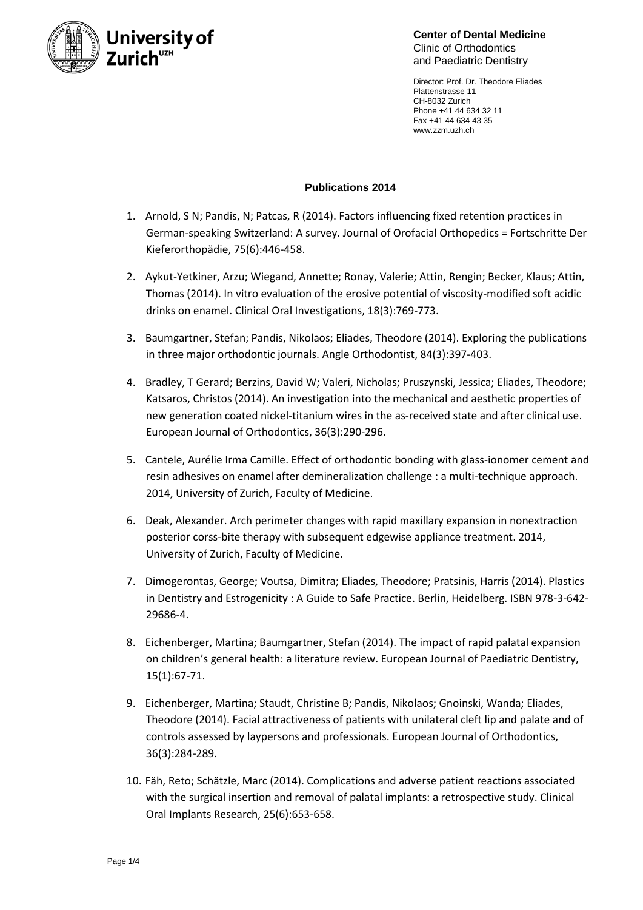

**Center of Dental Medicine** Clinic of Orthodontics and Paediatric Dentistry

Director: Prof. Dr. Theodore Eliades Plattenstrasse 11 CH-8032 Zurich Phone +41 44 634 32 11 Fax +41 44 634 43 35 www.zzm.uzh.ch

## **Publications 2014**

- 1. Arnold, S N; Pandis, N; Patcas, R (2014). Factors influencing fixed retention practices in German-speaking Switzerland: A survey. Journal of Orofacial Orthopedics = Fortschritte Der Kieferorthopädie, 75(6):446-458.
- 2. Aykut-Yetkiner, Arzu; Wiegand, Annette; Ronay, Valerie; Attin, Rengin; Becker, Klaus; Attin, Thomas (2014). In vitro evaluation of the erosive potential of viscosity-modified soft acidic drinks on enamel. Clinical Oral Investigations, 18(3):769-773.
- 3. Baumgartner, Stefan; Pandis, Nikolaos; Eliades, Theodore (2014). Exploring the publications in three major orthodontic journals. Angle Orthodontist, 84(3):397-403.
- 4. Bradley, T Gerard; Berzins, David W; Valeri, Nicholas; Pruszynski, Jessica; Eliades, Theodore; Katsaros, Christos (2014). An investigation into the mechanical and aesthetic properties of new generation coated nickel-titanium wires in the as-received state and after clinical use. European Journal of Orthodontics, 36(3):290-296.
- 5. Cantele, Aurélie Irma Camille. Effect of orthodontic bonding with glass-ionomer cement and resin adhesives on enamel after demineralization challenge : a multi-technique approach. 2014, University of Zurich, Faculty of Medicine.
- 6. Deak, Alexander. Arch perimeter changes with rapid maxillary expansion in nonextraction posterior corss-bite therapy with subsequent edgewise appliance treatment. 2014, University of Zurich, Faculty of Medicine.
- 7. Dimogerontas, George; Voutsa, Dimitra; Eliades, Theodore; Pratsinis, Harris (2014). Plastics in Dentistry and Estrogenicity : A Guide to Safe Practice. Berlin, Heidelberg. ISBN 978-3-642- 29686-4.
- 8. Eichenberger, Martina; Baumgartner, Stefan (2014). The impact of rapid palatal expansion on children's general health: a literature review. European Journal of Paediatric Dentistry, 15(1):67-71.
- 9. Eichenberger, Martina; Staudt, Christine B; Pandis, Nikolaos; Gnoinski, Wanda; Eliades, Theodore (2014). Facial attractiveness of patients with unilateral cleft lip and palate and of controls assessed by laypersons and professionals. European Journal of Orthodontics, 36(3):284-289.
- 10. Fäh, Reto; Schätzle, Marc (2014). Complications and adverse patient reactions associated with the surgical insertion and removal of palatal implants: a retrospective study. Clinical Oral Implants Research, 25(6):653-658.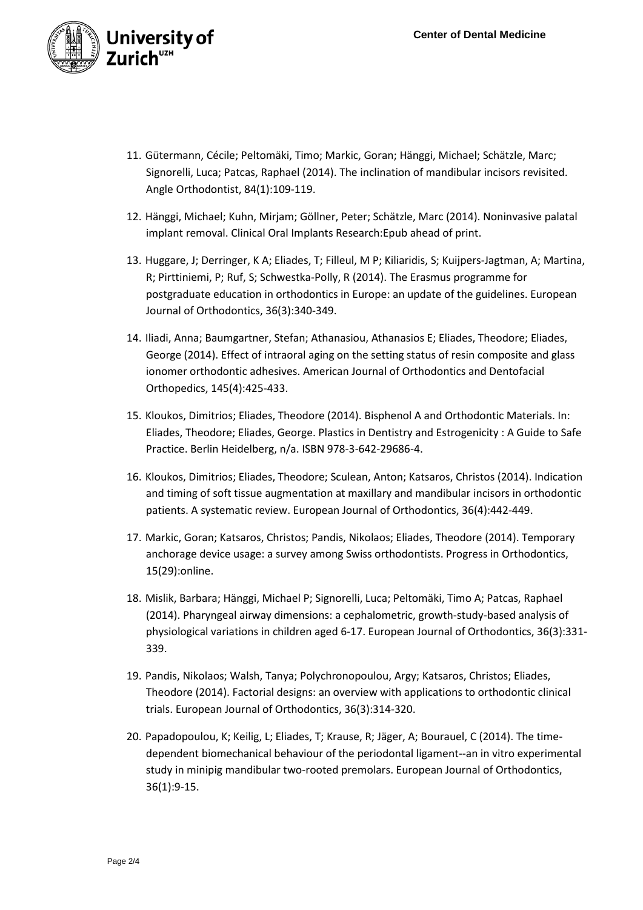

- 11. Gütermann, Cécile; Peltomäki, Timo; Markic, Goran; Hänggi, Michael; Schätzle, Marc; Signorelli, Luca; Patcas, Raphael (2014). The inclination of mandibular incisors revisited. Angle Orthodontist, 84(1):109-119.
- 12. Hänggi, Michael; Kuhn, Mirjam; Göllner, Peter; Schätzle, Marc (2014). Noninvasive palatal implant removal. Clinical Oral Implants Research:Epub ahead of print.
- 13. Huggare, J; Derringer, K A; Eliades, T; Filleul, M P; Kiliaridis, S; Kuijpers-Jagtman, A; Martina, R; Pirttiniemi, P; Ruf, S; Schwestka-Polly, R (2014). The Erasmus programme for postgraduate education in orthodontics in Europe: an update of the guidelines. European Journal of Orthodontics, 36(3):340-349.
- 14. Iliadi, Anna; Baumgartner, Stefan; Athanasiou, Athanasios E; Eliades, Theodore; Eliades, George (2014). Effect of intraoral aging on the setting status of resin composite and glass ionomer orthodontic adhesives. American Journal of Orthodontics and Dentofacial Orthopedics, 145(4):425-433.
- 15. Kloukos, Dimitrios; Eliades, Theodore (2014). Bisphenol A and Orthodontic Materials. In: Eliades, Theodore; Eliades, George. Plastics in Dentistry and Estrogenicity : A Guide to Safe Practice. Berlin Heidelberg, n/a. ISBN 978-3-642-29686-4.
- 16. Kloukos, Dimitrios; Eliades, Theodore; Sculean, Anton; Katsaros, Christos (2014). Indication and timing of soft tissue augmentation at maxillary and mandibular incisors in orthodontic patients. A systematic review. European Journal of Orthodontics, 36(4):442-449.
- 17. Markic, Goran; Katsaros, Christos; Pandis, Nikolaos; Eliades, Theodore (2014). Temporary anchorage device usage: a survey among Swiss orthodontists. Progress in Orthodontics, 15(29):online.
- 18. Mislik, Barbara; Hänggi, Michael P; Signorelli, Luca; Peltomäki, Timo A; Patcas, Raphael (2014). Pharyngeal airway dimensions: a cephalometric, growth-study-based analysis of physiological variations in children aged 6-17. European Journal of Orthodontics, 36(3):331- 339.
- 19. Pandis, Nikolaos; Walsh, Tanya; Polychronopoulou, Argy; Katsaros, Christos; Eliades, Theodore (2014). Factorial designs: an overview with applications to orthodontic clinical trials. European Journal of Orthodontics, 36(3):314-320.
- 20. Papadopoulou, K; Keilig, L; Eliades, T; Krause, R; Jäger, A; Bourauel, C (2014). The timedependent biomechanical behaviour of the periodontal ligament--an in vitro experimental study in minipig mandibular two-rooted premolars. European Journal of Orthodontics, 36(1):9-15.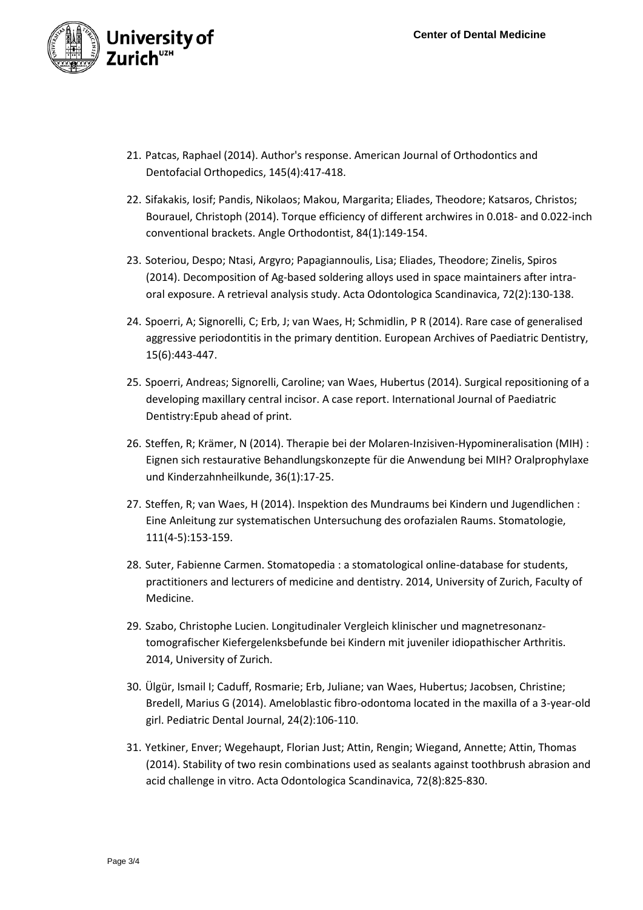

- 21. Patcas, Raphael (2014). Author's response. American Journal of Orthodontics and Dentofacial Orthopedics, 145(4):417-418.
- 22. Sifakakis, Iosif; Pandis, Nikolaos; Makou, Margarita; Eliades, Theodore; Katsaros, Christos; Bourauel, Christoph (2014). Torque efficiency of different archwires in 0.018- and 0.022-inch conventional brackets. Angle Orthodontist, 84(1):149-154.
- 23. Soteriou, Despo; Ntasi, Argyro; Papagiannoulis, Lisa; Eliades, Theodore; Zinelis, Spiros (2014). Decomposition of Ag-based soldering alloys used in space maintainers after intraoral exposure. A retrieval analysis study. Acta Odontologica Scandinavica, 72(2):130-138.
- 24. Spoerri, A; Signorelli, C; Erb, J; van Waes, H; Schmidlin, P R (2014). Rare case of generalised aggressive periodontitis in the primary dentition. European Archives of Paediatric Dentistry, 15(6):443-447.
- 25. Spoerri, Andreas; Signorelli, Caroline; van Waes, Hubertus (2014). Surgical repositioning of a developing maxillary central incisor. A case report. International Journal of Paediatric Dentistry:Epub ahead of print.
- 26. Steffen, R; Krämer, N (2014). Therapie bei der Molaren-Inzisiven-Hypomineralisation (MIH) : Eignen sich restaurative Behandlungskonzepte für die Anwendung bei MIH? Oralprophylaxe und Kinderzahnheilkunde, 36(1):17-25.
- 27. Steffen, R; van Waes, H (2014). Inspektion des Mundraums bei Kindern und Jugendlichen : Eine Anleitung zur systematischen Untersuchung des orofazialen Raums. Stomatologie, 111(4-5):153-159.
- 28. Suter, Fabienne Carmen. Stomatopedia : a stomatological online-database for students, practitioners and lecturers of medicine and dentistry. 2014, University of Zurich, Faculty of Medicine.
- 29. Szabo, Christophe Lucien. Longitudinaler Vergleich klinischer und magnetresonanztomografischer Kiefergelenksbefunde bei Kindern mit juveniler idiopathischer Arthritis. 2014, University of Zurich.
- 30. Ülgür, Ismail I; Caduff, Rosmarie; Erb, Juliane; van Waes, Hubertus; Jacobsen, Christine; Bredell, Marius G (2014). Ameloblastic fibro-odontoma located in the maxilla of a 3-year-old girl. Pediatric Dental Journal, 24(2):106-110.
- 31. Yetkiner, Enver; Wegehaupt, Florian Just; Attin, Rengin; Wiegand, Annette; Attin, Thomas (2014). Stability of two resin combinations used as sealants against toothbrush abrasion and acid challenge in vitro. Acta Odontologica Scandinavica, 72(8):825-830.